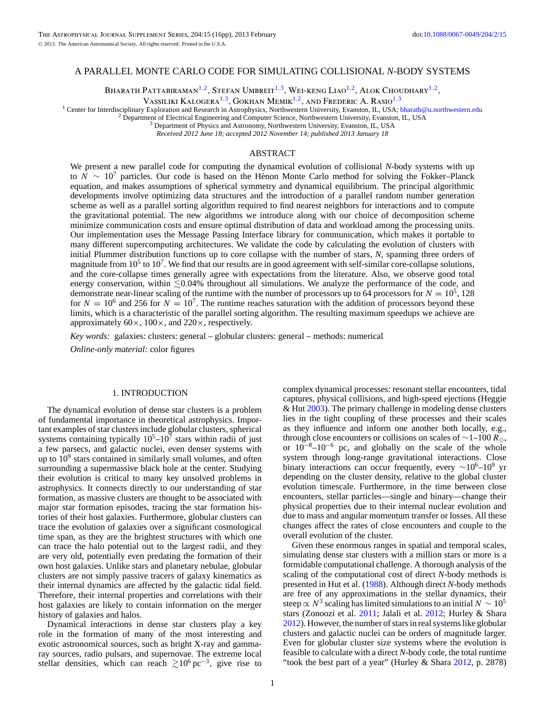# A PARALLEL MONTE CARLO CODE FOR SIMULATING COLLISIONAL *N*-BODY SYSTEMS

BHARATH PATTABIRAMAN<sup>1,2</sup>, STEFAN UMBREIT<sup>1,3</sup>, WEI-KENG LIAO<sup>1,2</sup>, ALOK CHOUDHARY<sup>1,2</sup>,

Vassiliki Kalogera1*,*3, Gokhan Memik1*,*2, and Frederic A. Rasio1*,*<sup>3</sup>

<sup>1</sup> Center for Interdisciplinary Exploration and Research in Astrophysics, Northwestern University, Evanston, IL, USA; [bharath@u.northwestern.edu](mailto:bharath@u.northwestern.edu) <sup>2</sup> Department of Electrical Engineering and Computer Science, Northwestern

*Received 2012 June 18; accepted 2012 November 14; published 2013 January 18*

# ABSTRACT

We present a new parallel code for computing the dynamical evolution of collisional *N*-body systems with up to *N* ∼ 10<sup>7</sup> particles. Our code is based on the Hénon Monte Carlo method for solving the Fokker–Planck equation, and makes assumptions of spherical symmetry and dynamical equilibrium. The principal algorithmic developments involve optimizing data structures and the introduction of a parallel random number generation scheme as well as a parallel sorting algorithm required to find nearest neighbors for interactions and to compute the gravitational potential. The new algorithms we introduce along with our choice of decomposition scheme minimize communication costs and ensure optimal distribution of data and workload among the processing units. Our implementation uses the Message Passing Interface library for communication, which makes it portable to many different supercomputing architectures. We validate the code by calculating the evolution of clusters with initial Plummer distribution functions up to core collapse with the number of stars, *N*, spanning three orders of magnitude from  $10<sup>5</sup>$  to  $10<sup>7</sup>$ . We find that our results are in good agreement with self-similar core-collapse solutions, and the core-collapse times generally agree with expectations from the literature. Also, we observe good total energy conservation, within  $\lesssim 0.04\%$  throughout all simulations. We analyze the performance of the code, and demonstrate near-linear scaling of the runtime with the number of processors up to 64 processors for  $N = 10^5$ , 128 for  $N = 10^6$  and 256 for  $N = 10^7$ . The runtime reaches saturation with the addition of processors beyond these limits, which is a characteristic of the parallel sorting algorithm. The resulting maximum speedups we achieve are approximately 60×, 100×, and 220×, respectively.

*Key words:* galaxies: clusters: general – globular clusters: general – methods: numerical

*Online-only material:* color figures

# 1. INTRODUCTION

The dynamical evolution of dense star clusters is a problem of fundamental importance in theoretical astrophysics. Important examples of star clusters include globular clusters, spherical systems containing typically  $10<sup>5</sup>$ –10<sup>7</sup> stars within radii of just a few parsecs, and galactic nuclei, even denser systems with up to  $10<sup>9</sup>$  stars contained in similarly small volumes, and often surrounding a supermassive black hole at the center. Studying their evolution is critical to many key unsolved problems in astrophysics. It connects directly to our understanding of star formation, as massive clusters are thought to be associated with major star formation episodes, tracing the star formation histories of their host galaxies. Furthermore, globular clusters can trace the evolution of galaxies over a significant cosmological time span, as they are the brightest structures with which one can trace the halo potential out to the largest radii, and they are very old, potentially even predating the formation of their own host galaxies. Unlike stars and planetary nebulae, globular clusters are not simply passive tracers of galaxy kinematics as their internal dynamics are affected by the galactic tidal field. Therefore, their internal properties and correlations with their host galaxies are likely to contain information on the merger history of galaxies and halos.

Dynamical interactions in dense star clusters play a key role in the formation of many of the most interesting and exotic astronomical sources, such as bright X-ray and gammaray sources, radio pulsars, and supernovae. The extreme local stellar densities, which can reach  $\geq 10^6$  pc<sup>-3</sup>, give rise to

complex dynamical processes: resonant stellar encounters, tidal captures, physical collisions, and high-speed ejections (Heggie & Hut [2003\)](#page-15-0). The primary challenge in modeling dense clusters lies in the tight coupling of these processes and their scales as they influence and inform one another both locally, e.g., through close encounters or collisions on scales of  $\sim$ 1–100  $\overline{R_{\odot}}$ , or  $10^{-8}-10^{-6}$  pc, and globally on the scale of the whole system through long-range gravitational interactions. Close binary interactions can occur frequently, every  $\sim 10^6$ – $10^9$  yr depending on the cluster density, relative to the global cluster evolution timescale. Furthermore, in the time between close encounters, stellar particles—single and binary—change their physical properties due to their internal nuclear evolution and due to mass and angular momentum transfer or losses. All these changes affect the rates of close encounters and couple to the overall evolution of the cluster.

Given these enormous ranges in spatial and temporal scales, simulating dense star clusters with a million stars or more is a formidable computational challenge. A thorough analysis of the scaling of the computational cost of direct *N*-body methods is presented in Hut et al. [\(1988\)](#page-15-0). Although direct *N*-body methods are free of any approximations in the stellar dynamics, their steep  $\propto N^3$  scaling has limited simulations to an initial  $N \sim 10^5$ stars (Zonoozi et al. [2011;](#page-15-0) Jalali et al. [2012;](#page-15-0) Hurley & Shara [2012\)](#page-15-0). However, the number of stars in real systems like globular clusters and galactic nuclei can be orders of magnitude larger. Even for globular cluster size systems where the evolution is feasible to calculate with a direct *N*-body code, the total runtime "took the best part of a year" (Hurley & Shara [2012,](#page-15-0) p. 2878)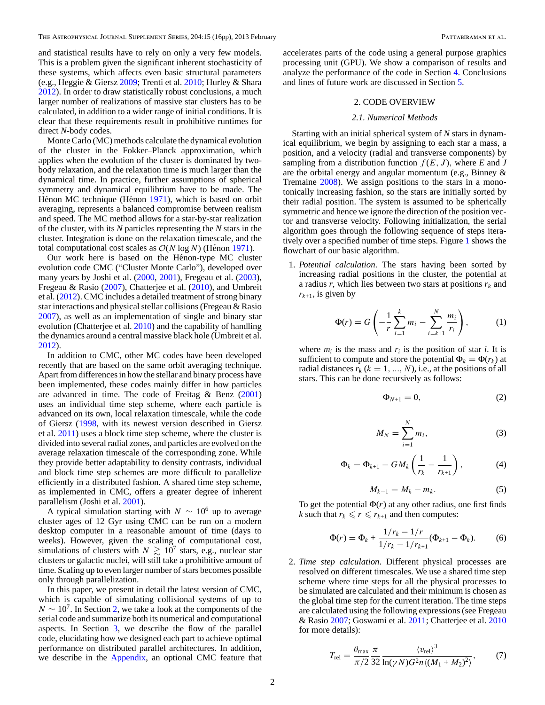<span id="page-1-0"></span>and statistical results have to rely on only a very few models. This is a problem given the significant inherent stochasticity of these systems, which affects even basic structural parameters (e.g., Heggie & Giersz [2009;](#page-15-0) Trenti et al. [2010;](#page-15-0) Hurley & Shara [2012\)](#page-15-0). In order to draw statistically robust conclusions, a much larger number of realizations of massive star clusters has to be calculated, in addition to a wider range of initial conditions. It is clear that these requirements result in prohibitive runtimes for direct *N*-body codes.

Monte Carlo (MC) methods calculate the dynamical evolution of the cluster in the Fokker–Planck approximation, which applies when the evolution of the cluster is dominated by twobody relaxation, and the relaxation time is much larger than the dynamical time. In practice, further assumptions of spherical symmetry and dynamical equilibrium have to be made. The Hénon MC technique (Hénon [1971\)](#page-15-0), which is based on orbit averaging, represents a balanced compromise between realism and speed. The MC method allows for a star-by-star realization of the cluster, with its *N* particles representing the *N* stars in the cluster. Integration is done on the relaxation timescale, and the total computational cost scales as  $O(N \log N)$  (Hénon [1971\)](#page-15-0).

Our work here is based on the Hénon-type MC cluster evolution code CMC ("Cluster Monte Carlo"), developed over many years by Joshi et al. [\(2000,](#page-15-0) [2001\)](#page-15-0), Fregeau et al. [\(2003\)](#page-15-0), Fregeau & Rasio [\(2007\)](#page-15-0), Chatterjee et al. [\(2010\)](#page-15-0), and Umbreit et al. [\(2012\)](#page-15-0). CMC includes a detailed treatment of strong binary star interactions and physical stellar collisions (Fregeau & Rasio [2007\)](#page-15-0), as well as an implementation of single and binary star evolution (Chatterjee et al. [2010\)](#page-15-0) and the capability of handling the dynamics around a central massive black hole (Umbreit et al. [2012\)](#page-15-0).

In addition to CMC, other MC codes have been developed recently that are based on the same orbit averaging technique. Apart from differences in how the stellar and binary process have been implemented, these codes mainly differ in how particles are advanced in time. The code of Freitag  $\&$  Benz [\(2001\)](#page-15-0) uses an individual time step scheme, where each particle is advanced on its own, local relaxation timescale, while the code of Giersz [\(1998,](#page-15-0) with its newest version described in Giersz et al. [2011\)](#page-15-0) uses a block time step scheme, where the cluster is divided into several radial zones, and particles are evolved on the average relaxation timescale of the corresponding zone. While they provide better adaptability to density contrasts, individual and block time step schemes are more difficult to parallelize efficiently in a distributed fashion. A shared time step scheme, as implemented in CMC, offers a greater degree of inherent parallelism (Joshi et al. [2001\)](#page-15-0).

A typical simulation starting with  $N \sim 10^6$  up to average cluster ages of 12 Gyr using CMC can be run on a modern desktop computer in a reasonable amount of time (days to weeks). However, given the scaling of computational cost, simulations of clusters with  $N \geq 10^7$  stars, e.g., nuclear star clusters or galactic nuclei, will still take a prohibitive amount of time. Scaling up to even larger number of stars becomes possible only through parallelization.

In this paper, we present in detail the latest version of CMC, which is capable of simulating collisional systems of up to  $N \sim 10^7$ . In Section 2, we take a look at the components of the serial code and summarize both its numerical and computational aspects. In Section [3,](#page-3-0) we describe the flow of the parallel code, elucidating how we designed each part to achieve optimal performance on distributed parallel architectures. In addition, we describe in the [Appendix,](#page-12-0) an optional CMC feature that

accelerates parts of the code using a general purpose graphics processing unit (GPU). We show a comparison of results and analyze the performance of the code in Section [4.](#page-7-0) Conclusions and lines of future work are discussed in Section [5.](#page-12-0)

# 2. CODE OVERVIEW

# *2.1. Numerical Methods*

Starting with an initial spherical system of *N* stars in dynamical equilibrium, we begin by assigning to each star a mass, a position, and a velocity (radial and transverse components) by sampling from a distribution function  $f(E, J)$ , where *E* and *J* are the orbital energy and angular momentum (e.g., Binney & Tremaine [2008\)](#page-15-0). We assign positions to the stars in a monotonically increasing fashion, so the stars are initially sorted by their radial position. The system is assumed to be spherically symmetric and hence we ignore the direction of the position vector and transverse velocity. Following initialization, the serial algorithm goes through the following sequence of steps iteratively over a specified number of time steps. Figure [1](#page-2-0) shows the flowchart of our basic algorithm.

1. *Potential calculation*. The stars having been sorted by increasing radial positions in the cluster, the potential at a radius  $r$ , which lies between two stars at positions  $r_k$  and  $r_{k+1}$ , is given by

$$
\Phi(r) = G\left(-\frac{1}{r}\sum_{i=1}^{k} m_i - \sum_{i=k+1}^{N} \frac{m_i}{r_i}\right),\tag{1}
$$

where  $m_i$  is the mass and  $r_i$  is the position of star *i*. It is sufficient to compute and store the potential  $\Phi_k = \Phi(r_k)$  at radial distances  $r_k$  ( $k = 1, ..., N$ ), i.e., at the positions of all stars. This can be done recursively as follows:

$$
\Phi_{N+1} = 0,\t\t(2)
$$

$$
M_N = \sum_{i=1}^N m_i,\tag{3}
$$

$$
\Phi_k = \Phi_{k+1} - GM_k \left( \frac{1}{r_k} - \frac{1}{r_{k+1}} \right), \tag{4}
$$

$$
M_{k-1} = M_k - m_k. \tag{5}
$$

To get the potential  $\Phi(r)$  at any other radius, one first finds *k* such that  $r_k \le r \le r_{k+1}$  and then computes:

$$
\Phi(r) = \Phi_k + \frac{1/r_k - 1/r}{1/r_k - 1/r_{k+1}} (\Phi_{k+1} - \Phi_k).
$$
 (6)

2. *Time step calculation*. Different physical processes are resolved on different timescales. We use a shared time step scheme where time steps for all the physical processes to be simulated are calculated and their minimum is chosen as the global time step for the current iteration. The time steps are calculated using the following expressions (see Fregeau & Rasio [2007;](#page-15-0) Goswami et al. [2011;](#page-15-0) Chatterjee et al. [2010](#page-15-0) for more details):

$$
T_{\rm rel} = \frac{\theta_{\rm max}}{\pi/2} \frac{\pi}{32} \frac{\langle v_{\rm rel} \rangle^3}{\ln(\gamma N) G^2 n \langle (M_1 + M_2)^2 \rangle},\tag{7}
$$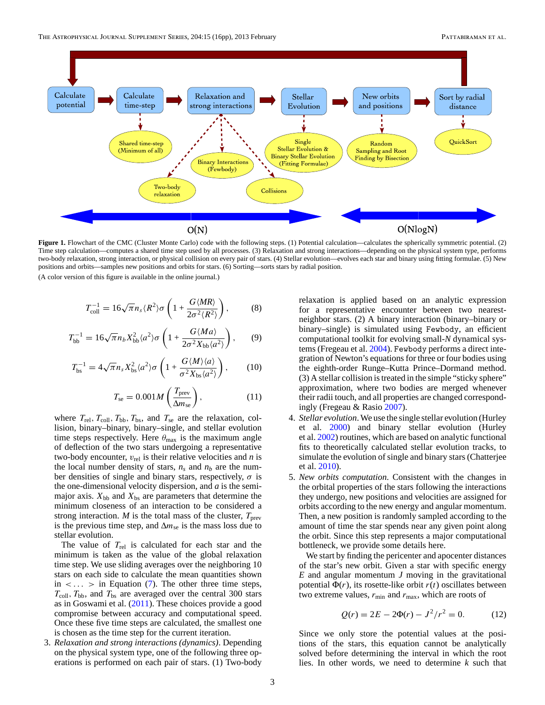<span id="page-2-0"></span>

**Figure 1.** Flowchart of the CMC (Cluster Monte Carlo) code with the following steps. (1) Potential calculation—calculates the spherically symmetric potential. (2) Time step calculation—computes a shared time step used by all processes. (3) Relaxation and strong interactions—depending on the physical system type, performs two-body relaxation, strong interaction, or physical collision on every pair of stars. (4) Stellar evolution—evolves each star and binary using fitting formulae. (5) New positions and orbits—samples new positions and orbits for stars. (6) Sorting—sorts stars by radial position.

$$
T_{\text{coll}}^{-1} = 16\sqrt{\pi}n_s \langle R^2 \rangle \sigma \left( 1 + \frac{G \langle MR \rangle}{2\sigma^2 \langle R^2 \rangle} \right),\tag{8}
$$

$$
T_{\rm bb}^{-1} = 16\sqrt{\pi}n_b X_{\rm bb}^2 \langle a^2 \rangle \sigma \left( 1 + \frac{G \langle Ma \rangle}{2\sigma^2 X_{\rm bb} \langle a^2 \rangle} \right), \qquad (9)
$$

$$
T_{\rm bs}^{-1} = 4\sqrt{\pi}n_s X_{\rm bs}^2 \langle a^2 \rangle \sigma \left( 1 + \frac{G\langle M \rangle \langle a \rangle}{\sigma^2 X_{\rm bs} \langle a^2 \rangle} \right), \tag{10}
$$

$$
T_{\rm se} = 0.001 M \left( \frac{T_{\rm prev}}{\Delta m_{\rm se}} \right),\tag{11}
$$

where  $T_{\text{rel}}$ ,  $T_{\text{coll}}$ ,  $T_{\text{bb}}$ ,  $T_{\text{bs}}$ , and  $T_{\text{se}}$  are the relaxation, collision, binary–binary, binary–single, and stellar evolution time steps respectively. Here  $\theta_{\text{max}}$  is the maximum angle of deflection of the two stars undergoing a representative two-body encounter,  $v_{rel}$  is their relative velocities and *n* is the local number density of stars,  $n_s$  and  $n_b$  are the number densities of single and binary stars, respectively,  $\sigma$  is the one-dimensional velocity dispersion, and *a* is the semimajor axis.  $X_{bb}$  and  $X_{bs}$  are parameters that determine the minimum closeness of an interaction to be considered a strong interaction. *M* is the total mass of the cluster,  $T_{prev}$ is the previous time step, and  $\Delta m_{\rm se}$  is the mass loss due to stellar evolution.

The value of *T*rel is calculated for each star and the minimum is taken as the value of the global relaxation time step. We use sliding averages over the neighboring 10 stars on each side to calculate the mean quantities shown in  $\langle \ldots \rangle$  in Equation [\(7\)](#page-1-0). The other three time steps,  $T_{\text{coll}}$ ,  $T_{\text{bb}}$ , and  $T_{\text{bs}}$  are averaged over the central 300 stars as in Goswami et al. [\(2011\)](#page-15-0). These choices provide a good compromise between accuracy and computational speed. Once these five time steps are calculated, the smallest one is chosen as the time step for the current iteration.

3. *Relaxation and strong interactions (dynamics)*. Depending on the physical system type, one of the following three operations is performed on each pair of stars. (1) Two-body relaxation is applied based on an analytic expression for a representative encounter between two nearestneighbor stars. (2) A binary interaction (binary–binary or binary–single) is simulated using Fewbody, an efficient computational toolkit for evolving small-*N* dynamical systems (Fregeau et al. [2004\)](#page-15-0). Fewbody performs a direct integration of Newton's equations for three or four bodies using the eighth-order Runge–Kutta Prince–Dormand method. (3) A stellar collision is treated in the simple "sticky sphere" approximation, where two bodies are merged whenever their radii touch, and all properties are changed correspondingly (Fregeau & Rasio [2007\)](#page-15-0).

- 4. *Stellar evolution*. We use the single stellar evolution (Hurley et al. [2000\)](#page-15-0) and binary stellar evolution (Hurley et al. [2002\)](#page-15-0) routines, which are based on analytic functional fits to theoretically calculated stellar evolution tracks, to simulate the evolution of single and binary stars (Chatterjee et al. [2010\)](#page-15-0).
- 5. *New orbits computation*. Consistent with the changes in the orbital properties of the stars following the interactions they undergo, new positions and velocities are assigned for orbits according to the new energy and angular momentum. Then, a new position is randomly sampled according to the amount of time the star spends near any given point along the orbit. Since this step represents a major computational bottleneck, we provide some details here.

We start by finding the pericenter and apocenter distances of the star's new orbit. Given a star with specific energy *E* and angular momentum *J* moving in the gravitational potential  $\Phi(r)$ , its rosette-like orbit  $r(t)$  oscillates between two extreme values,  $r_{\text{min}}$  and  $r_{\text{max}}$ , which are roots of

$$
Q(r) = 2E - 2\Phi(r) - J^2/r^2 = 0.
$$
 (12)

Since we only store the potential values at the positions of the stars, this equation cannot be analytically solved before determining the interval in which the root lies. In other words, we need to determine *k* such that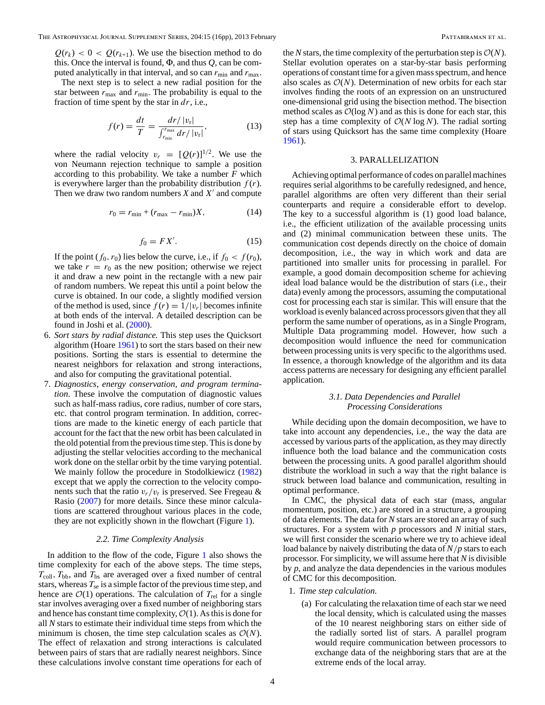<span id="page-3-0"></span> $Q(r_k) < 0 < Q(r_{k+1})$ . We use the bisection method to do this. Once the interval is found, Φ, and thus *Q*, can be computed analytically in that interval, and so can  $r_{\min}$  and  $r_{\max}$ .

The next step is to select a new radial position for the star between  $r_{\text{max}}$  and  $r_{\text{min}}$ . The probability is equal to the fraction of time spent by the star in *dr*, i.e.,

$$
f(r) = \frac{dt}{T} = \frac{dr/|v_r|}{\int_{r_{\min}}^{r_{\max}} dr/|v_r|},
$$
(13)

where the radial velocity  $v_r = [Q(r)]^{1/2}$ . We use the von Neumann rejection technique to sample a position according to this probability. We take a number *F* which is everywhere larger than the probability distribution  $f(r)$ . Then we draw two random numbers  $X$  and  $X'$  and compute

$$
r_0 = r_{\min} + (r_{\max} - r_{\min})X, \tag{14}
$$

$$
f_0 = FX'.\tag{15}
$$

If the point  $(f_0, r_0)$  lies below the curve, i.e., if  $f_0 < f(r_0)$ , we take  $r = r_0$  as the new position; otherwise we reject it and draw a new point in the rectangle with a new pair of random numbers. We repeat this until a point below the curve is obtained. In our code, a slightly modified version of the method is used, since  $f(r) = 1/|v_r|$  becomes infinite at both ends of the interval. A detailed description can be found in Joshi et al. [\(2000\)](#page-15-0).

- 6. *Sort stars by radial distance.* This step uses the Quicksort algorithm (Hoare [1961\)](#page-15-0) to sort the stars based on their new positions. Sorting the stars is essential to determine the nearest neighbors for relaxation and strong interactions, and also for computing the gravitational potential.
- 7. *Diagnostics, energy conservation, and program termination*. These involve the computation of diagnostic values such as half-mass radius, core radius, number of core stars, etc. that control program termination. In addition, corrections are made to the kinetic energy of each particle that account for the fact that the new orbit has been calculated in the old potential from the previous time step. This is done by adjusting the stellar velocities according to the mechanical work done on the stellar orbit by the time varying potential. We mainly follow the procedure in Stodolkiewicz [\(1982\)](#page-15-0) except that we apply the correction to the velocity components such that the ratio  $v_r/v_t$  is preserved. See Fregeau & Rasio [\(2007\)](#page-15-0) for more details. Since these minor calculations are scattered throughout various places in the code, they are not explicitly shown in the flowchart (Figure [1\)](#page-2-0).

#### *2.2. Time Complexity Analysis*

In addition to the flow of the code, Figure [1](#page-2-0) also shows the time complexity for each of the above steps. The time steps,  $T_{\text{coll}}$ ,  $T_{\text{bb}}$ , and  $T_{\text{bs}}$  are averaged over a fixed number of central stars, whereas  $T_{\rm se}$  is a simple factor of the previous time step, and hence are  $\mathcal{O}(1)$  operations. The calculation of  $T_{rel}$  for a single star involves averaging over a fixed number of neighboring stars and hence has constant time complexity,  $\mathcal{O}(1)$ . As this is done for all *N* stars to estimate their individual time steps from which the minimum is chosen, the time step calculation scales as  $\mathcal{O}(N)$ . The effect of relaxation and strong interactions is calculated between pairs of stars that are radially nearest neighbors. Since these calculations involve constant time operations for each of

the *N* stars, the time complexity of the perturbation step is  $O(N)$ . Stellar evolution operates on a star-by-star basis performing operations of constant time for a given mass spectrum, and hence also scales as  $O(N)$ . Determination of new orbits for each star involves finding the roots of an expression on an unstructured one-dimensional grid using the bisection method. The bisection method scales as  $\mathcal{O}(\log N)$  and as this is done for each star, this step has a time complexity of  $O(N \log N)$ . The radial sorting of stars using Quicksort has the same time complexity (Hoare [1961\)](#page-15-0).

### 3. PARALLELIZATION

Achieving optimal performance of codes on parallel machines requires serial algorithms to be carefully redesigned, and hence, parallel algorithms are often very different than their serial counterparts and require a considerable effort to develop. The key to a successful algorithm is (1) good load balance, i.e., the efficient utilization of the available processing units and (2) minimal communication between these units. The communication cost depends directly on the choice of domain decomposition, i.e., the way in which work and data are partitioned into smaller units for processing in parallel. For example, a good domain decomposition scheme for achieving ideal load balance would be the distribution of stars (i.e., their data) evenly among the processors, assuming the computational cost for processing each star is similar. This will ensure that the workload is evenly balanced across processors given that they all perform the same number of operations, as in a Single Program, Multiple Data programming model. However, how such a decomposition would influence the need for communication between processing units is very specific to the algorithms used. In essence, a thorough knowledge of the algorithm and its data access patterns are necessary for designing any efficient parallel application.

# *3.1. Data Dependencies and Parallel Processing Considerations*

While deciding upon the domain decomposition, we have to take into account any dependencies, i.e., the way the data are accessed by various parts of the application, as they may directly influence both the load balance and the communication costs between the processing units. A good parallel algorithm should distribute the workload in such a way that the right balance is struck between load balance and communication, resulting in optimal performance.

In CMC, the physical data of each star (mass, angular momentum, position, etc.) are stored in a structure, a grouping of data elements. The data for *N* stars are stored an array of such structures. For a system with *p* processors and *N* initial stars, we will first consider the scenario where we try to achieve ideal load balance by naively distributing the data of *N/p* stars to each processor. For simplicity, we will assume here that *N* is divisible by *p*, and analyze the data dependencies in the various modules of CMC for this decomposition.

- 1. *Time step calculation.*
	- (a) For calculating the relaxation time of each star we need the local density, which is calculated using the masses of the 10 nearest neighboring stars on either side of the radially sorted list of stars. A parallel program would require communication between processors to exchange data of the neighboring stars that are at the extreme ends of the local array.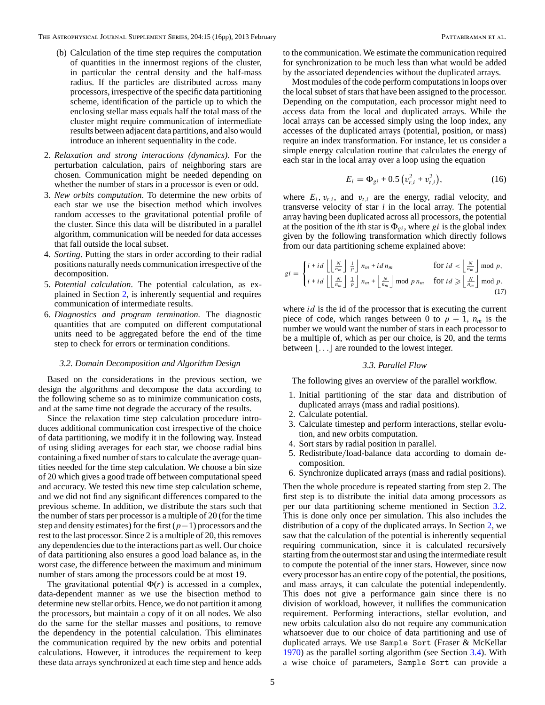- <span id="page-4-0"></span>(b) Calculation of the time step requires the computation of quantities in the innermost regions of the cluster, in particular the central density and the half-mass radius. If the particles are distributed across many processors, irrespective of the specific data partitioning scheme, identification of the particle up to which the enclosing stellar mass equals half the total mass of the cluster might require communication of intermediate results between adjacent data partitions, and also would introduce an inherent sequentiality in the code.
- 2. *Relaxation and strong interactions (dynamics).* For the perturbation calculation, pairs of neighboring stars are chosen. Communication might be needed depending on whether the number of stars in a processor is even or odd.
- 3. *New orbits computation*. To determine the new orbits of each star we use the bisection method which involves random accesses to the gravitational potential profile of the cluster. Since this data will be distributed in a parallel algorithm, communication will be needed for data accesses that fall outside the local subset.
- 4. *Sorting*. Putting the stars in order according to their radial positions naturally needs communication irrespective of the decomposition.
- 5. *Potential calculation*. The potential calculation, as explained in Section [2,](#page-1-0) is inherently sequential and requires communication of intermediate results.
- 6. *Diagnostics and program termination.* The diagnostic quantities that are computed on different computational units need to be aggregated before the end of the time step to check for errors or termination conditions.

#### *3.2. Domain Decomposition and Algorithm Design*

Based on the considerations in the previous section, we design the algorithms and decompose the data according to the following scheme so as to minimize communication costs, and at the same time not degrade the accuracy of the results.

Since the relaxation time step calculation procedure introduces additional communication cost irrespective of the choice of data partitioning, we modify it in the following way. Instead of using sliding averages for each star, we choose radial bins containing a fixed number of stars to calculate the average quantities needed for the time step calculation. We choose a bin size of 20 which gives a good trade off between computational speed and accuracy. We tested this new time step calculation scheme, and we did not find any significant differences compared to the previous scheme. In addition, we distribute the stars such that the number of stars per processor is a multiple of 20 (for the time step and density estimates) for the first (*p*−1) processors and the rest to the last processor. Since 2 is a multiple of 20, this removes any dependencies due to the interactions part as well. Our choice of data partitioning also ensures a good load balance as, in the worst case, the difference between the maximum and minimum number of stars among the processors could be at most 19.

The gravitational potential  $\Phi(r)$  is accessed in a complex, data-dependent manner as we use the bisection method to determine new stellar orbits. Hence, we do not partition it among the processors, but maintain a copy of it on all nodes. We also do the same for the stellar masses and positions, to remove the dependency in the potential calculation. This eliminates the communication required by the new orbits and potential calculations. However, it introduces the requirement to keep these data arrays synchronized at each time step and hence adds

to the communication. We estimate the communication required for synchronization to be much less than what would be added by the associated dependencies without the duplicated arrays.

Most modules of the code perform computations in loops over the local subset of stars that have been assigned to the processor. Depending on the computation, each processor might need to access data from the local and duplicated arrays. While the local arrays can be accessed simply using the loop index, any accesses of the duplicated arrays (potential, position, or mass) require an index transformation. For instance, let us consider a simple energy calculation routine that calculates the energy of each star in the local array over a loop using the equation

$$
E_i = \Phi_{gi} + 0.5 \left( v_{r,i}^2 + v_{t,i}^2 \right), \tag{16}
$$

where  $E_i$ ,  $v_{r,i}$ , and  $v_{t,i}$  are the energy, radial velocity, and transverse velocity of star *i* in the local array. The potential array having been duplicated across all processors, the potential at the position of the *i*th star is  $\Phi_{gi}$ , where *gi* is the global index given by the following transformation which directly follows from our data partitioning scheme explained above:

$$
gi = \begin{cases} i + id \left\lfloor \frac{N}{n_m} \right\rfloor \frac{1}{p} \right\rfloor n_m + id \, n_m & \text{for } id < \left\lfloor \frac{N}{n_m} \right\rfloor \bmod p, \\ i + id \left\lfloor \frac{N}{n_m} \right\rfloor \frac{1}{p} \right\rfloor n_m + \left\lfloor \frac{N}{n_m} \right\rfloor \bmod p \, n_m & \text{for } id \geqslant \left\lfloor \frac{N}{n_m} \right\rfloor \bmod p. \\ (17)
$$

where *id* is the id of the processor that is executing the current piece of code, which ranges between 0 to  $p-1$ ,  $n_m$  is the number we would want the number of stars in each processor to be a multiple of, which as per our choice, is 20, and the terms between  $\lfloor \ldots \rfloor$  are rounded to the lowest integer.

### *3.3. Parallel Flow*

The following gives an overview of the parallel workflow.

- 1. Initial partitioning of the star data and distribution of duplicated arrays (mass and radial positions).
- 2. Calculate potential.
- 3. Calculate timestep and perform interactions, stellar evolution, and new orbits computation.
- 4. Sort stars by radial position in parallel.
- 5. Redistribute*/*load-balance data according to domain decomposition.
- 6. Synchronize duplicated arrays (mass and radial positions).

Then the whole procedure is repeated starting from step 2. The first step is to distribute the initial data among processors as per our data partitioning scheme mentioned in Section 3.2. This is done only once per simulation. This also includes the distribution of a copy of the duplicated arrays. In Section [2,](#page-1-0) we saw that the calculation of the potential is inherently sequential requiring communication, since it is calculated recursively starting from the outermost star and using the intermediate result to compute the potential of the inner stars. However, since now every processor has an entire copy of the potential, the positions, and mass arrays, it can calculate the potential independently. This does not give a performance gain since there is no division of workload, however, it nullifies the communication requirement. Performing interactions, stellar evolution, and new orbits calculation also do not require any communication whatsoever due to our choice of data partitioning and use of duplicated arrays. We use Sample Sort (Fraser & McKellar [1970\)](#page-15-0) as the parallel sorting algorithm (see Section [3.4\)](#page-5-0). With a wise choice of parameters, Sample Sort can provide a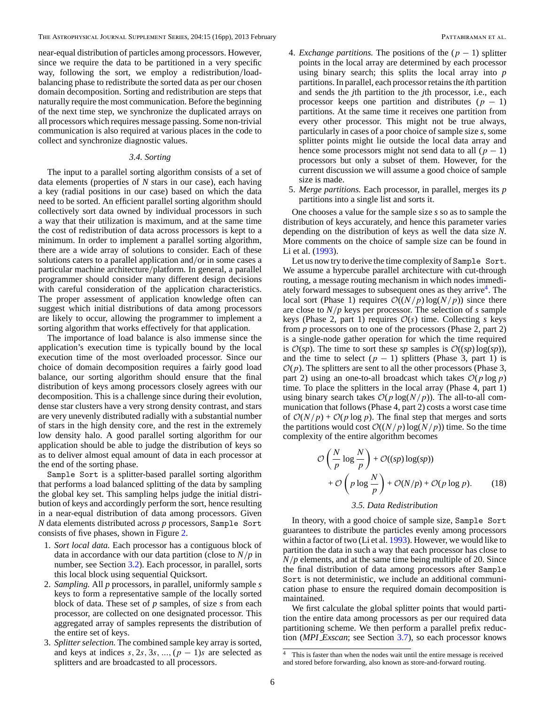<span id="page-5-0"></span>near-equal distribution of particles among processors. However, since we require the data to be partitioned in a very specific way, following the sort, we employ a redistribution*/*loadbalancing phase to redistribute the sorted data as per our chosen domain decomposition. Sorting and redistribution are steps that naturally require the most communication. Before the beginning of the next time step, we synchronize the duplicated arrays on all processors which requires message passing. Some non-trivial communication is also required at various places in the code to collect and synchronize diagnostic values.

# *3.4. Sorting*

The input to a parallel sorting algorithm consists of a set of data elements (properties of *N* stars in our case), each having a key (radial positions in our case) based on which the data need to be sorted. An efficient parallel sorting algorithm should collectively sort data owned by individual processors in such a way that their utilization is maximum, and at the same time the cost of redistribution of data across processors is kept to a minimum. In order to implement a parallel sorting algorithm, there are a wide array of solutions to consider. Each of these solutions caters to a parallel application and*/*or in some cases a particular machine architecture*/*platform. In general, a parallel programmer should consider many different design decisions with careful consideration of the application characteristics. The proper assessment of application knowledge often can suggest which initial distributions of data among processors are likely to occur, allowing the programmer to implement a sorting algorithm that works effectively for that application.

The importance of load balance is also immense since the application's execution time is typically bound by the local execution time of the most overloaded processor. Since our choice of domain decomposition requires a fairly good load balance, our sorting algorithm should ensure that the final distribution of keys among processors closely agrees with our decomposition. This is a challenge since during their evolution, dense star clusters have a very strong density contrast, and stars are very unevenly distributed radially with a substantial number of stars in the high density core, and the rest in the extremely low density halo. A good parallel sorting algorithm for our application should be able to judge the distribution of keys so as to deliver almost equal amount of data in each processor at the end of the sorting phase.

Sample Sort is a splitter-based parallel sorting algorithm that performs a load balanced splitting of the data by sampling the global key set. This sampling helps judge the initial distribution of keys and accordingly perform the sort, hence resulting in a near-equal distribution of data among processors. Given *N* data elements distributed across *p* processors, Sample Sort consists of five phases, shown in Figure [2.](#page-6-0)

- 1. *Sort local data.* Each processor has a contiguous block of data in accordance with our data partition (close to *N/p* in number, see Section [3.2\)](#page-4-0). Each processor, in parallel, sorts this local block using sequential Quicksort.
- 2. *Sampling.* All *p* processors, in parallel, uniformly sample *s* keys to form a representative sample of the locally sorted block of data. These set of *p* samples, of size *s* from each processor, are collected on one designated processor. This aggregated array of samples represents the distribution of the entire set of keys.
- 3. *Splitter selection.* The combined sample key array is sorted, and keys at indices  $s, 2s, 3s, ..., (p-1)s$  are selected as splitters and are broadcasted to all processors.
- 4. *Exchange partitions*. The positions of the  $(p 1)$  splitter points in the local array are determined by each processor using binary search; this splits the local array into *p* partitions. In parallel, each processor retains the *i*th partition and sends the *j*th partition to the *j*th processor, i.e., each processor keeps one partition and distributes  $(p - 1)$ partitions. At the same time it receives one partition from every other processor. This might not be true always, particularly in cases of a poor choice of sample size *s*, some splitter points might lie outside the local data array and hence some processors might not send data to all  $(p - 1)$ processors but only a subset of them. However, for the current discussion we will assume a good choice of sample size is made.
- 5. *Merge partitions.* Each processor, in parallel, merges its *p* partitions into a single list and sorts it.

One chooses a value for the sample size *s* so as to sample the distribution of keys accurately, and hence this parameter varies depending on the distribution of keys as well the data size *N*. More comments on the choice of sample size can be found in Li et al. [\(1993\)](#page-15-0).

Let us now try to derive the time complexity of Sample Sort. We assume a hypercube parallel architecture with cut-through routing, a message routing mechanism in which nodes immediately forward messages to subsequent ones as they arrive<sup>4</sup>. The local sort (Phase 1) requires  $\mathcal{O}((N/p) \log(N/p))$  since there are close to *N/p* keys per processor. The selection of *s* sample keys (Phase 2, part 1) requires  $\mathcal{O}(s)$  time. Collecting *s* keys from *p* processors on to one of the processors (Phase 2, part 2) is a single-node gather operation for which the time required is  $\mathcal{O}(sp)$ . The time to sort these *sp* samples is  $\mathcal{O}((sp) \log(sp))$ , and the time to select  $(p - 1)$  splitters (Phase 3, part 1) is  $\mathcal{O}(p)$ . The splitters are sent to all the other processors (Phase 3, part 2) using an one-to-all broadcast which takes  $O(p \log p)$ time. To place the splitters in the local array (Phase 4, part 1) using binary search takes  $\mathcal{O}(p \log(N/p))$ . The all-to-all communication that follows (Phase 4, part 2) costs a worst case time of  $O(N/p) + O(p \log p)$ . The final step that merges and sorts the partitions would cost  $\mathcal{O}((N/p) \log(N/p))$  time. So the time complexity of the entire algorithm becomes

$$
\mathcal{O}\left(\frac{N}{p}\log\frac{N}{p}\right) + \mathcal{O}((sp)\log(sp))
$$
  
+  $\mathcal{O}\left(p\log\frac{N}{p}\right) + \mathcal{O}(N/p) + \mathcal{O}(p\log p).$  (18)

# *3.5. Data Redistribution*

In theory, with a good choice of sample size, Sample Sort guarantees to distribute the particles evenly among processors within a factor of two (Li et al. [1993\)](#page-15-0). However, we would like to partition the data in such a way that each processor has close to *N/p* elements, and at the same time being multiple of 20. Since the final distribution of data among processors after Sample Sort is not deterministic, we include an additional communication phase to ensure the required domain decomposition is maintained.

We first calculate the global splitter points that would partition the entire data among processors as per our required data partitioning scheme. We then perform a parallel prefix reduction (*MPI Exscan*; see Section [3.7\)](#page-7-0), so each processor knows

This is faster than when the nodes wait until the entire message is received and stored before forwarding, also known as store-and-forward routing.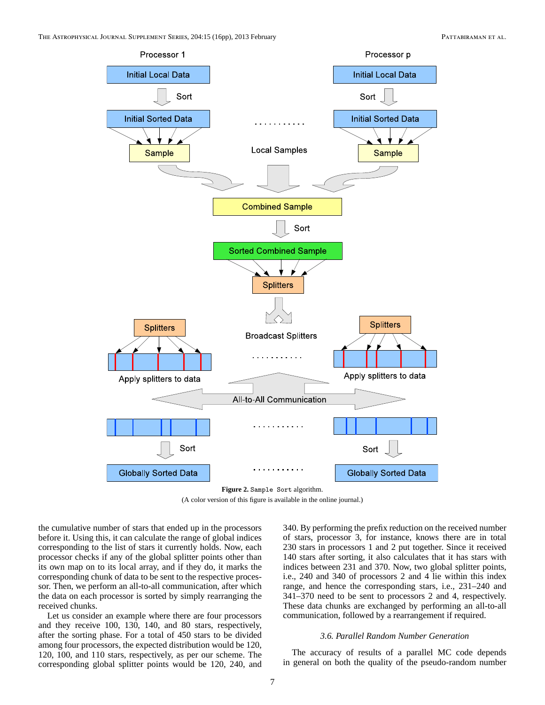<span id="page-6-0"></span>

**Figure 2.** Sample Sort algorithm. (A color version of this figure is available in the online journal.)

the cumulative number of stars that ended up in the processors before it. Using this, it can calculate the range of global indices corresponding to the list of stars it currently holds. Now, each processor checks if any of the global splitter points other than its own map on to its local array, and if they do, it marks the corresponding chunk of data to be sent to the respective processor. Then, we perform an all-to-all communication, after which the data on each processor is sorted by simply rearranging the received chunks.

Let us consider an example where there are four processors and they receive 100, 130, 140, and 80 stars, respectively, after the sorting phase. For a total of 450 stars to be divided among four processors, the expected distribution would be 120, 120, 100, and 110 stars, respectively, as per our scheme. The corresponding global splitter points would be 120, 240, and

340. By performing the prefix reduction on the received number of stars, processor 3, for instance, knows there are in total 230 stars in processors 1 and 2 put together. Since it received 140 stars after sorting, it also calculates that it has stars with indices between 231 and 370. Now, two global splitter points, i.e., 240 and 340 of processors 2 and 4 lie within this index range, and hence the corresponding stars, i.e., 231–240 and 341–370 need to be sent to processors 2 and 4, respectively. These data chunks are exchanged by performing an all-to-all communication, followed by a rearrangement if required.

### *3.6. Parallel Random Number Generation*

The accuracy of results of a parallel MC code depends in general on both the quality of the pseudo-random number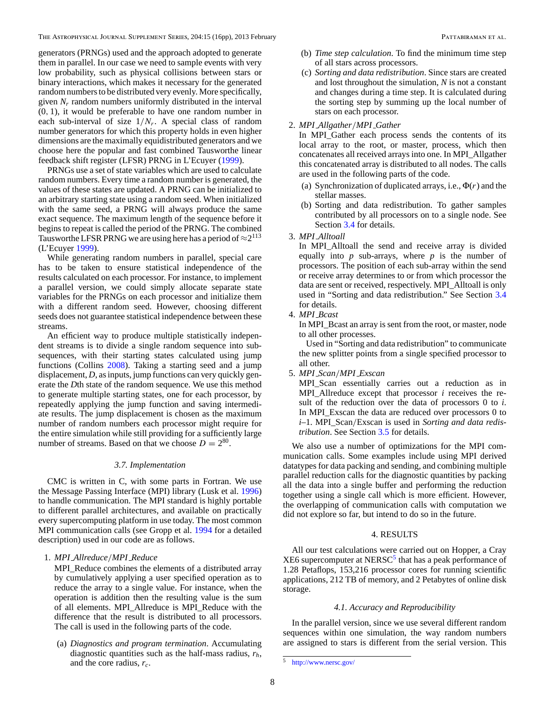<span id="page-7-0"></span>generators (PRNGs) used and the approach adopted to generate them in parallel. In our case we need to sample events with very low probability, such as physical collisions between stars or binary interactions, which makes it necessary for the generated random numbers to be distributed very evenly. More specifically, given  $N_r$  random numbers uniformly distributed in the interval (0*,* 1), it would be preferable to have one random number in each sub-interval of size 1*/Nr*. A special class of random number generators for which this property holds in even higher dimensions are the maximally equidistributed generators and we choose here the popular and fast combined Tausworthe linear feedback shift register (LFSR) PRNG in L'Ecuyer [\(1999\)](#page-15-0).

PRNGs use a set of state variables which are used to calculate random numbers. Every time a random number is generated, the values of these states are updated. A PRNG can be initialized to an arbitrary starting state using a random seed. When initialized with the same seed, a PRNG will always produce the same exact sequence. The maximum length of the sequence before it begins to repeat is called the period of the PRNG. The combined Tausworthe LFSR PRNG we are using here has a period of  $\approx 2^{113}$ (L'Ecuyer [1999\)](#page-15-0).

While generating random numbers in parallel, special care has to be taken to ensure statistical independence of the results calculated on each processor. For instance, to implement a parallel version, we could simply allocate separate state variables for the PRNGs on each processor and initialize them with a different random seed. However, choosing different seeds does not guarantee statistical independence between these streams.

An efficient way to produce multiple statistically independent streams is to divide a single random sequence into subsequences, with their starting states calculated using jump functions (Collins [2008\)](#page-15-0). Taking a starting seed and a jump displacement, *D*, as inputs, jump functions can very quickly generate the *D*th state of the random sequence. We use this method to generate multiple starting states, one for each processor, by repeatedly applying the jump function and saving intermediate results. The jump displacement is chosen as the maximum number of random numbers each processor might require for the entire simulation while still providing for a sufficiently large number of streams. Based on that we choose  $D = 2^{80}$ .

### *3.7. Implementation*

CMC is written in C, with some parts in Fortran. We use the Message Passing Interface (MPI) library (Lusk et al. [1996\)](#page-15-0) to handle communication. The MPI standard is highly portable to different parallel architectures, and available on practically every supercomputing platform in use today. The most common MPI communication calls (see Gropp et al. [1994](#page-15-0) for a detailed description) used in our code are as follows.

1. *MPI Allreduce/MPI Reduce*

MPI\_Reduce combines the elements of a distributed array by cumulatively applying a user specified operation as to reduce the array to a single value. For instance, when the operation is addition then the resulting value is the sum of all elements. MPI\_Allreduce is MPI\_Reduce with the difference that the result is distributed to all processors. The call is used in the following parts of the code.

(a) *Diagnostics and program termination*. Accumulating diagnostic quantities such as the half-mass radius, *rh*, and the core radius, *rc*.

- (b) *Time step calculation*. To find the minimum time step of all stars across processors.
- (c) *Sorting and data redistribution*. Since stars are created and lost throughout the simulation, *N* is not a constant and changes during a time step. It is calculated during the sorting step by summing up the local number of stars on each processor.

## 2. *MPI Allgather/MPI Gather*

In MPI\_Gather each process sends the contents of its local array to the root, or master, process, which then concatenates all received arrays into one. In MPI\_Allgather this concatenated array is distributed to all nodes. The calls are used in the following parts of the code.

- (a) Synchronization of duplicated arrays, i.e., Φ(*r*) and the stellar masses.
- (b) Sorting and data redistribution. To gather samples contributed by all processors on to a single node. See Section [3.4](#page-5-0) for details.
- 3. *MPI Alltoall*

In MPI\_Alltoall the send and receive array is divided equally into *p* sub-arrays, where *p* is the number of processors. The position of each sub-array within the send or receive array determines to or from which processor the data are sent or received, respectively. MPI\_Alltoall is only used in "Sorting and data redistribution." See Section [3.4](#page-5-0) for details.

4. *MPI Bcast*

In MPI\_Bcast an array is sent from the root, or master, node to all other processes.

Used in "Sorting and data redistribution" to communicate the new splitter points from a single specified processor to all other.

5. *MPI Scan/MPI Exscan*

MPI Scan essentially carries out a reduction as in MPI\_Allreduce except that processor *i* receives the result of the reduction over the data of processors 0 to *i*. In MPI\_Exscan the data are reduced over processors 0 to *i*–1. MPI\_Scan*/*Exscan is used in *Sorting and data redistribution*. See Section [3.5](#page-5-0) for details.

We also use a number of optimizations for the MPI communication calls. Some examples include using MPI derived datatypes for data packing and sending, and combining multiple parallel reduction calls for the diagnostic quantities by packing all the data into a single buffer and performing the reduction together using a single call which is more efficient. However, the overlapping of communication calls with computation we did not explore so far, but intend to do so in the future.

### 4. RESULTS

All our test calculations were carried out on Hopper, a Cray  $XE6$  supercomputer at NERSC<sup>5</sup> that has a peak performance of 1.28 Petaflops, 153,216 processor cores for running scientific applications, 212 TB of memory, and 2 Petabytes of online disk storage.

### *4.1. Accuracy and Reproducibility*

In the parallel version, since we use several different random sequences within one simulation, the way random numbers are assigned to stars is different from the serial version. This

<sup>5</sup> <http://www.nersc.gov/>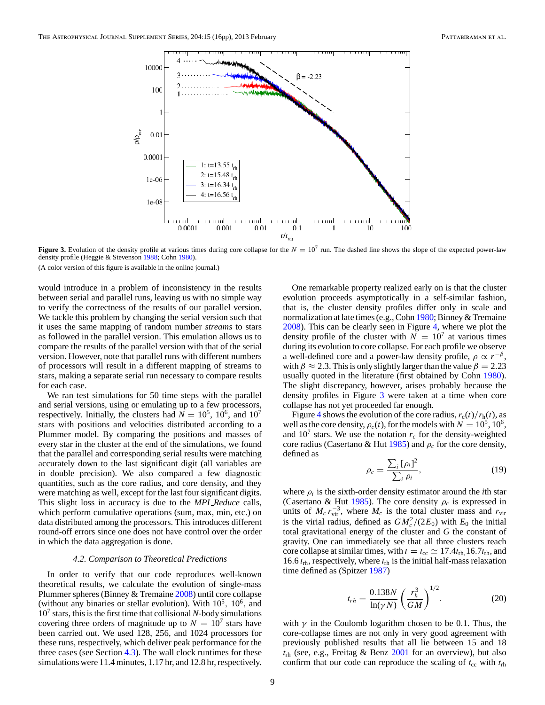<span id="page-8-0"></span>

**Figure 3.** Evolution of the density profile at various times during core collapse for the  $N = 10<sup>7</sup>$  run. The dashed line shows the slope of the expected power-law density profile (Heggie & Stevenson [1988;](#page-15-0) Cohn [1980\)](#page-15-0).

would introduce in a problem of inconsistency in the results between serial and parallel runs, leaving us with no simple way to verify the correctness of the results of our parallel version. We tackle this problem by changing the serial version such that it uses the same mapping of random number *streams* to stars as followed in the parallel version. This emulation allows us to compare the results of the parallel version with that of the serial version. However, note that parallel runs with different numbers of processors will result in a different mapping of streams to stars, making a separate serial run necessary to compare results for each case.

We ran test simulations for 50 time steps with the parallel and serial versions, using or emulating up to a few processors, respectively. Initially, the clusters had  $N = 10^5$ ,  $10^6$ , and  $10^7$ stars with positions and velocities distributed according to a Plummer model. By comparing the positions and masses of every star in the cluster at the end of the simulations, we found that the parallel and corresponding serial results were matching accurately down to the last significant digit (all variables are in double precision). We also compared a few diagnostic quantities, such as the core radius, and core density, and they were matching as well, except for the last four significant digits. This slight loss in accuracy is due to the *MPI Reduce* calls, which perform cumulative operations (sum, max, min, etc.) on data distributed among the processors. This introduces different round-off errors since one does not have control over the order in which the data aggregation is done.

### *4.2. Comparison to Theoretical Predictions*

In order to verify that our code reproduces well-known theoretical results, we calculate the evolution of single-mass Plummer spheres (Binney & Tremaine [2008\)](#page-15-0) until core collapse (without any binaries or stellar evolution). With  $10^5$ ,  $10^6$ , and  $10<sup>7</sup>$  stars, this is the first time that collisional *N*-body simulations covering three orders of magnitude up to  $N = 10^7$  stars have been carried out. We used 128, 256, and 1024 processors for these runs, respectively, which deliver peak performance for the three cases (see Section [4.3\)](#page-9-0). The wall clock runtimes for these simulations were 11.4 minutes, 1.17 hr, and 12.8 hr, respectively.

One remarkable property realized early on is that the cluster evolution proceeds asymptotically in a self-similar fashion, that is, the cluster density profiles differ only in scale and normalization at late times (e.g., Cohn [1980;](#page-15-0) Binney & Tremaine [2008\)](#page-15-0). This can be clearly seen in Figure [4,](#page-9-0) where we plot the density profile of the cluster with  $N = 10<sup>7</sup>$  at various times during its evolution to core collapse. For each profile we observe a well-defined core and a power-law density profile,  $\rho \propto r^{-\beta}$ , with  $\beta \approx 2.3$ . This is only slightly larger than the value  $\beta = 2.23$ usually quoted in the literature (first obtained by Cohn [1980\)](#page-15-0). The slight discrepancy, however, arises probably because the density profiles in Figure 3 were taken at a time when core collapse has not yet proceeded far enough.

Figure [4](#page-9-0) shows the evolution of the core radius,  $r_c(t)/r_h(t)$ , as well as the core density,  $\rho_c(t)$ , for the models with  $N = 10^5, 10^6$ , and  $10<sup>7</sup>$  stars. We use the notation  $r_c$  for the density-weighted core radius (Casertano & Hut  $1985$ ) and  $\rho_c$  for the core density, defined as

$$
\rho_c = \frac{\sum_i [\rho_i]^2}{\sum_i \rho_i},\tag{19}
$$

where  $\rho_i$  is the sixth-order density estimator around the *i*th star (Casertano & Hut [1985\)](#page-15-0). The core density  $\rho_c$  is expressed in units of  $M_c r_{\text{vir}}^{-3}$ , where  $M_c$  is the total cluster mass and  $r_{\text{vir}}$ is the virial radius, defined as  $GM_c^2/(2E_0)$  with  $E_0$  the initial total gravitational energy of the cluster and *G* the constant of gravity. One can immediately see that all three clusters reach core collapse at similar times, with  $t = t_{\rm cc} \approx 17.4t_{\rm rh}$ , 16*.*7 $t_{\rm rh}$ , and 16*.*6 *t*rh, respectively, where *t*rh is the initial half-mass relaxation time defined as (Spitzer [1987\)](#page-15-0)

$$
t_{rh} = \frac{0.138N}{\ln(\gamma N)} \left(\frac{r_h^3}{GM}\right)^{1/2}.
$$
 (20)

with  $\gamma$  in the Coulomb logarithm chosen to be 0.1. Thus, the core-collapse times are not only in very good agreement with previously published results that all lie between 15 and 18 *t*rh (see, e.g., Freitag & Benz [2001](#page-15-0) for an overview), but also confirm that our code can reproduce the scaling of  $t_{cc}$  with  $t_{rh}$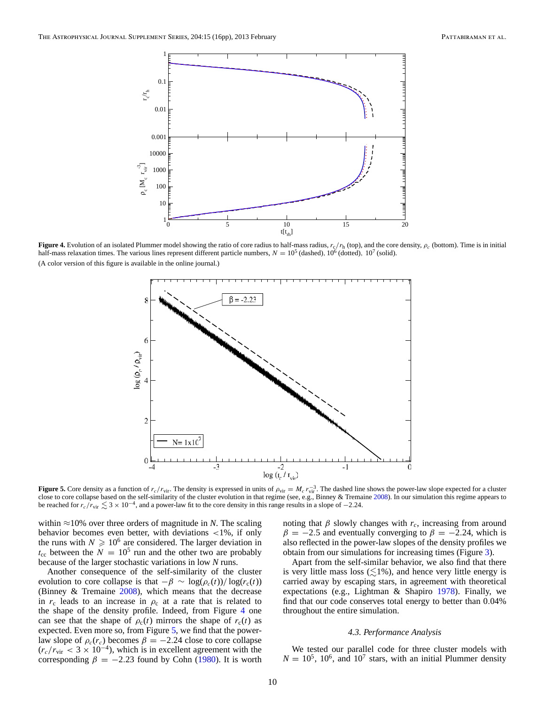<span id="page-9-0"></span>

**Figure 4.** Evolution of an isolated Plummer model showing the ratio of core radius to half-mass radius, *r*c*/r*<sup>h</sup> (top), and the core density, *ρc* (bottom). Time is in initial half-mass relaxation times. The various lines represent different particle numbers,  $N = 10^5$  (dashed),  $10^6$  (dotted),  $10^7$  (solid). (A color version of this figure is available in the online journal.)



**Figure 5.** Core density as a function of  $r_c/r_{\text{vir}}$ . The density is expressed in units of  $\rho_{\text{vir}} = M_c r_{\text{vir}}^{-3}$ . The dashed line shows the power-law slope expected for a cluster close to core collapse based on the self-similarity of the cluster evolution in that regime (see, e.g., Binney & Tremaine [2008\)](#page-15-0). In our simulation this regime appears to be reached for  $r_c/r_{vir} \leq 3 \times 10^{-4}$ , and a power-law fit to the core density in this range results in a slope of  $-2.24$ .

within  $\approx$ 10% over three orders of magnitude in *N*. The scaling behavior becomes even better, with deviations *<*1%, if only the runs with  $N \geq 10^6$  are considered. The larger deviation in  $t_{\rm cc}$  between the  $N = 10^5$  run and the other two are probably because of the larger stochastic variations in low *N* runs.

Another consequence of the self-similarity of the cluster evolution to core collapse is that  $-\beta \sim \log(\rho_c(t))/\log(r_c(t))$ (Binney & Tremaine [2008\)](#page-15-0), which means that the decrease in  $r_c$  leads to an increase in  $\rho_c$  at a rate that is related to the shape of the density profile. Indeed, from Figure 4 one can see that the shape of  $\rho_c(t)$  mirrors the shape of  $r_c(t)$  as expected. Even more so, from Figure 5, we find that the powerlaw slope of  $\rho_c(r_c)$  becomes  $\beta = -2.24$  close to core collapse  $(r_c/r_{\text{vir}} < 3 \times 10^{-4})$ , which is in excellent agreement with the corresponding  $\beta = -2.23$  found by Cohn [\(1980\)](#page-15-0). It is worth noting that  $\beta$  slowly changes with  $r_c$ , increasing from around  $\beta = -2.5$  and eventually converging to  $\beta = -2.24$ , which is also reflected in the power-law slopes of the density profiles we obtain from our simulations for increasing times (Figure [3\)](#page-8-0).

Apart from the self-similar behavior, we also find that there is very little mass loss  $(\leq 1\%)$ , and hence very little energy is carried away by escaping stars, in agreement with theoretical expectations (e.g., Lightman & Shapiro [1978\)](#page-15-0). Finally, we find that our code conserves total energy to better than 0*.*04% throughout the entire simulation.

#### *4.3. Performance Analysis*

We tested our parallel code for three cluster models with  $N = 10^5$ , 10<sup>6</sup>, and 10<sup>7</sup> stars, with an initial Plummer density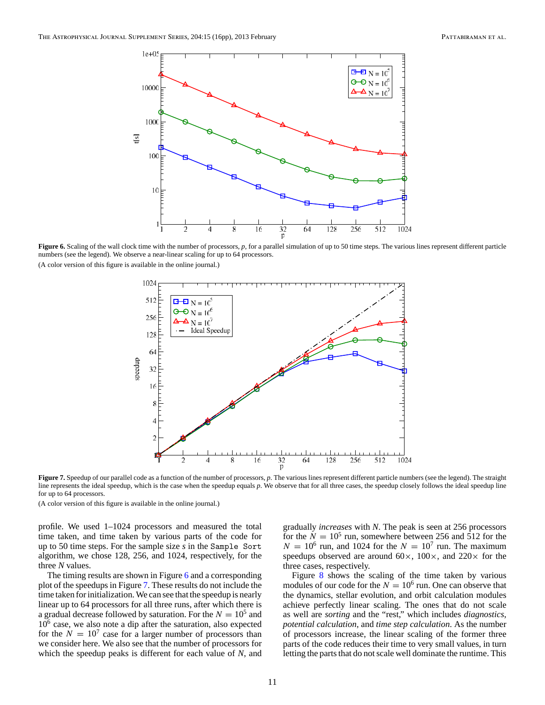

**Figure 6.** Scaling of the wall clock time with the number of processors, p, for a parallel simulation of up to 50 time steps. The various lines represent different particle numbers (see the legend). We observe a near-linear scaling for up to 64 processors.



**Figure 7.** Speedup of our parallel code as a function of the number of processors, p. The various lines represent different particle numbers (see the legend). The straight line represents the ideal speedup, which is the case when the speedup equals *p*. We observe that for all three cases, the speedup closely follows the ideal speedup line for up to 64 processors.

(A color version of this figure is available in the online journal.)

profile. We used 1–1024 processors and measured the total time taken, and time taken by various parts of the code for up to 50 time steps. For the sample size *s* in the Sample Sort algorithm, we chose 128, 256, and 1024, respectively, for the three *N* values.

The timing results are shown in Figure 6 and a corresponding plot of the speedups in Figure 7. These results do not include the time taken for initialization. We can see that the speedup is nearly linear up to 64 processors for all three runs, after which there is a gradual decrease followed by saturation. For the  $N = 10^5$  and  $10<sup>6</sup>$  case, we also note a dip after the saturation, also expected for the  $N = 10<sup>7</sup>$  case for a larger number of processors than we consider here. We also see that the number of processors for which the speedup peaks is different for each value of *N*, and

gradually *increases* with *N*. The peak is seen at 256 processors for the  $N = 10^5$  run, somewhere between 256 and 512 for the  $N = 10^6$  run, and 1024 for the  $N = 10^7$  run. The maximum speedups observed are around  $60\times$ ,  $100\times$ , and  $220\times$  for the three cases, respectively.

Figure [8](#page-11-0) shows the scaling of the time taken by various modules of our code for the  $N = 10^6$  run. One can observe that the dynamics, stellar evolution, and orbit calculation modules achieve perfectly linear scaling. The ones that do not scale as well are *sorting* and the "rest," which includes *diagnostics*, *potential calculation*, and *time step calculation*. As the number of processors increase, the linear scaling of the former three parts of the code reduces their time to very small values, in turn letting the parts that do not scale well dominate the runtime. This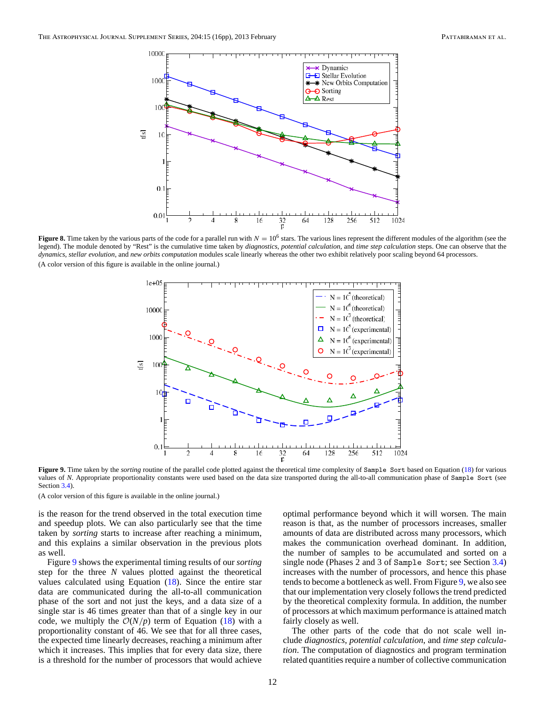<span id="page-11-0"></span>

**Figure 8.** Time taken by the various parts of the code for a parallel run with  $N = 10^6$  stars. The various lines represent the different modules of the algorithm (see the legend). The module denoted by "Rest" is the cumulative time taken by *diagnostics*, *potential calculation*, and *time step calculation* steps. One can observe that the *dynamics*, *stellar evolution*, and *new orbits computation* modules scale linearly whereas the other two exhibit relatively poor scaling beyond 64 processors. (A color version of this figure is available in the online journal.)



Figure 9. Time taken by the *sorting* routine of the parallel code plotted against the theoretical time complexity of Sample Sort based on Equation [\(18\)](#page-5-0) for various values of *N*. Appropriate proportionality constants were used based on the data size transported during the all-to-all communication phase of Sample Sort (see Section [3.4\)](#page-5-0).

is the reason for the trend observed in the total execution time and speedup plots. We can also particularly see that the time taken by *sorting* starts to increase after reaching a minimum, and this explains a similar observation in the previous plots as well.

Figure 9 shows the experimental timing results of our *sorting* step for the three *N* values plotted against the theoretical values calculated using Equation [\(18\)](#page-5-0). Since the entire star data are communicated during the all-to-all communication phase of the sort and not just the keys, and a data size of a single star is 46 times greater than that of a single key in our code, we multiply the  $O(N/p)$  term of Equation [\(18\)](#page-5-0) with a proportionality constant of 46. We see that for all three cases, the expected time linearly decreases, reaching a minimum after which it increases. This implies that for every data size, there is a threshold for the number of processors that would achieve

optimal performance beyond which it will worsen. The main reason is that, as the number of processors increases, smaller amounts of data are distributed across many processors, which makes the communication overhead dominant. In addition, the number of samples to be accumulated and sorted on a single node (Phases 2 and 3 of Sample Sort; see Section [3.4\)](#page-5-0) increases with the number of processors, and hence this phase tends to become a bottleneck as well. From Figure 9, we also see that our implementation very closely follows the trend predicted by the theoretical complexity formula. In addition, the number of processors at which maximum performance is attained match fairly closely as well.

The other parts of the code that do not scale well include *diagnostics*, *potential calculation*, and *time step calculation*. The computation of diagnostics and program termination related quantities require a number of collective communication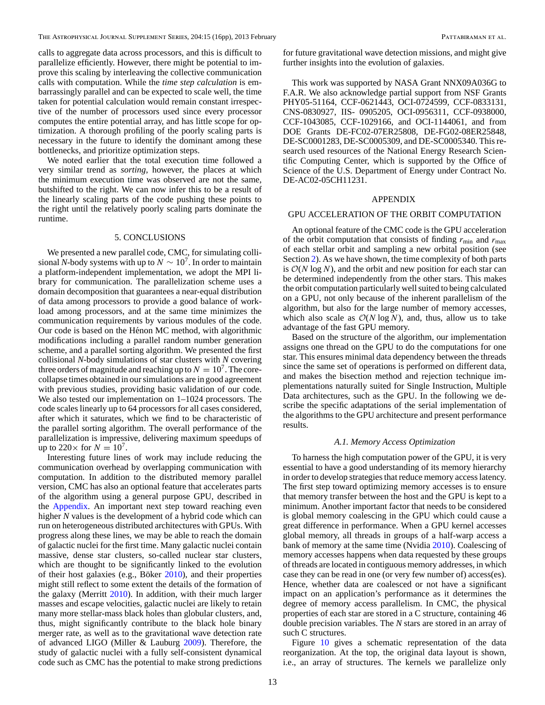<span id="page-12-0"></span>calls to aggregate data across processors, and this is difficult to parallelize efficiently. However, there might be potential to improve this scaling by interleaving the collective communication calls with computation. While the *time step calculation* is embarrassingly parallel and can be expected to scale well, the time taken for potential calculation would remain constant irrespective of the number of processors used since every processor computes the entire potential array, and has little scope for optimization. A thorough profiling of the poorly scaling parts is necessary in the future to identify the dominant among these bottlenecks, and prioritize optimization steps.

We noted earlier that the total execution time followed a very similar trend as *sorting*, however, the places at which the minimum execution time was observed are not the same, butshifted to the right. We can now infer this to be a result of the linearly scaling parts of the code pushing these points to the right until the relatively poorly scaling parts dominate the runtime.

# 5. CONCLUSIONS

We presented a new parallel code, CMC, for simulating collisional *N*-body systems with up to  $N \sim 10^7$ . In order to maintain a platform-independent implementation, we adopt the MPI library for communication. The parallelization scheme uses a domain decomposition that guarantees a near-equal distribution of data among processors to provide a good balance of workload among processors, and at the same time minimizes the communication requirements by various modules of the code. Our code is based on the Hénon MC method, with algorithmic modifications including a parallel random number generation scheme, and a parallel sorting algorithm. We presented the first collisional *N*-body simulations of star clusters with *N* covering three orders of magnitude and reaching up to  $N = 10<sup>7</sup>$ . The corecollapse times obtained in our simulations are in good agreement with previous studies, providing basic validation of our code. We also tested our implementation on 1–1024 processors. The code scales linearly up to 64 processors for all cases considered, after which it saturates, which we find to be characteristic of the parallel sorting algorithm. The overall performance of the parallelization is impressive, delivering maximum speedups of up to  $220 \times$  for  $N = 10^7$ .

Interesting future lines of work may include reducing the communication overhead by overlapping communication with computation. In addition to the distributed memory parallel version, CMC has also an optional feature that accelerates parts of the algorithm using a general purpose GPU, described in the Appendix. An important next step toward reaching even higher *N* values is the development of a hybrid code which can run on heterogeneous distributed architectures with GPUs. With progress along these lines, we may be able to reach the domain of galactic nuclei for the first time. Many galactic nuclei contain massive, dense star clusters, so-called nuclear star clusters, which are thought to be significantly linked to the evolution of their host galaxies (e.g., Böker  $2010$ ), and their properties might still reflect to some extent the details of the formation of the galaxy (Merritt [2010\)](#page-15-0). In addition, with their much larger masses and escape velocities, galactic nuclei are likely to retain many more stellar-mass black holes than globular clusters, and, thus, might significantly contribute to the black hole binary merger rate, as well as to the gravitational wave detection rate of advanced LIGO (Miller & Lauburg [2009\)](#page-15-0). Therefore, the study of galactic nuclei with a fully self-consistent dynamical code such as CMC has the potential to make strong predictions

for future gravitational wave detection missions, and might give further insights into the evolution of galaxies.

This work was supported by NASA Grant NNX09A036G to F.A.R. We also acknowledge partial support from NSF Grants PHY05-51164, CCF-0621443, OCI-0724599, CCF-0833131, CNS-0830927, IIS- 0905205, OCI-0956311, CCF-0938000, CCF-1043085, CCF-1029166, and OCI-1144061, and from DOE Grants DE-FC02-07ER25808, DE-FG02-08ER25848, DE-SC0001283, DE-SC0005309, and DE-SC0005340. This research used resources of the National Energy Research Scientific Computing Center, which is supported by the Office of Science of the U.S. Department of Energy under Contract No. DE-AC02-05CH11231.

### APPENDIX

#### GPU ACCELERATION OF THE ORBIT COMPUTATION

An optional feature of the CMC code is the GPU acceleration of the orbit computation that consists of finding  $r_{\text{min}}$  and  $r_{\text{max}}$ of each stellar orbit and sampling a new orbital position (see Section [2\)](#page-1-0). As we have shown, the time complexity of both parts is  $O(N \log N)$ , and the orbit and new position for each star can be determined independently from the other stars. This makes the orbit computation particularly well suited to being calculated on a GPU, not only because of the inherent parallelism of the algorithm, but also for the large number of memory accesses, which also scale as  $O(N \log N)$ , and, thus, allow us to take advantage of the fast GPU memory.

Based on the structure of the algorithm, our implementation assigns one thread on the GPU to do the computations for one star. This ensures minimal data dependency between the threads since the same set of operations is performed on different data, and makes the bisection method and rejection technique implementations naturally suited for Single Instruction, Multiple Data architectures, such as the GPU. In the following we describe the specific adaptations of the serial implementation of the algorithms to the GPU architecture and present performance results.

#### *A.1. Memory Access Optimization*

To harness the high computation power of the GPU, it is very essential to have a good understanding of its memory hierarchy in order to develop strategies that reduce memory access latency. The first step toward optimizing memory accesses is to ensure that memory transfer between the host and the GPU is kept to a minimum. Another important factor that needs to be considered is global memory coalescing in the GPU which could cause a great difference in performance. When a GPU kernel accesses global memory, all threads in groups of a half-warp access a bank of memory at the same time (Nvidia [2010\)](#page-15-0). Coalescing of memory accesses happens when data requested by these groups of threads are located in contiguous memory addresses, in which case they can be read in one (or very few number of) access(es). Hence, whether data are coalesced or not have a significant impact on an application's performance as it determines the degree of memory access parallelism. In CMC, the physical properties of each star are stored in a C structure, containing 46 double precision variables. The *N* stars are stored in an array of such C structures.

Figure [10](#page-13-0) gives a schematic representation of the data reorganization. At the top, the original data layout is shown, i.e., an array of structures. The kernels we parallelize only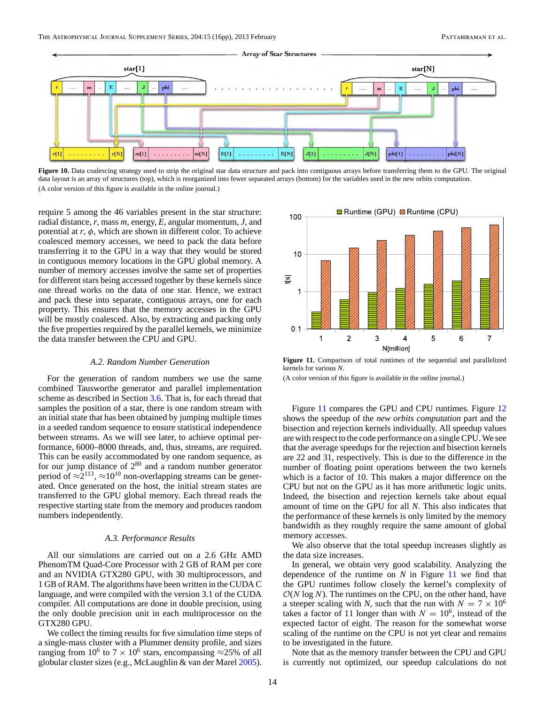<span id="page-13-0"></span>

Figure 10. Data coalescing strategy used to strip the original star data structure and pack into contiguous arrays before transferring them to the GPU. The original data layout is an array of structures (top), which is reorganized into fewer separated arrays (bottom) for the variables used in the new orbits computation. (A color version of this figure is available in the online journal.)

require 5 among the 46 variables present in the star structure: radial distance, *r*, mass *m*, energy, *E*, angular momentum, *J*, and potential at  $r$ ,  $\phi$ , which are shown in different color. To achieve coalesced memory accesses, we need to pack the data before transferring it to the GPU in a way that they would be stored in contiguous memory locations in the GPU global memory. A number of memory accesses involve the same set of properties for different stars being accessed together by these kernels since one thread works on the data of one star. Hence, we extract and pack these into separate, contiguous arrays, one for each property. This ensures that the memory accesses in the GPU will be mostly coalesced. Also, by extracting and packing only the five properties required by the parallel kernels, we minimize the data transfer between the CPU and GPU.

#### *A.2. Random Number Generation*

For the generation of random numbers we use the same combined Tausworthe generator and parallel implementation scheme as described in Section [3.6.](#page-6-0) That is, for each thread that samples the position of a star, there is one random stream with an initial state that has been obtained by jumping multiple times in a seeded random sequence to ensure statistical independence between streams. As we will see later, to achieve optimal performance, 6000–8000 threads, and, thus, streams, are required. This can be easily accommodated by one random sequence, as for our jump distance of  $2^{80}$  and a random number generator period of  $\approx 2^{113}$ ,  $\approx 10^{10}$  non-overlapping streams can be generated. Once generated on the host, the initial stream states are transferred to the GPU global memory. Each thread reads the respective starting state from the memory and produces random numbers independently.

### *A.3. Performance Results*

All our simulations are carried out on a 2.6 GHz AMD PhenomTM Quad-Core Processor with 2 GB of RAM per core and an NVIDIA GTX280 GPU, with 30 multiprocessors, and 1 GB of RAM. The algorithms have been written in the CUDA C language, and were compiled with the version 3.1 of the CUDA compiler. All computations are done in double precision, using the only double precision unit in each multiprocessor on the GTX280 GPU.

We collect the timing results for five simulation time steps of a single-mass cluster with a Plummer density profile, and sizes ranging from 10<sup>6</sup> to 7 × 10<sup>6</sup> stars, encompassing ≈25% of all globular cluster sizes (e.g., McLaughlin & van der Marel [2005\)](#page-15-0).



**Figure 11.** Comparison of total runtimes of the sequential and parallelized kernels for various *N*.

(A color version of this figure is available in the online journal.)

Figure 11 compares the GPU and CPU runtimes. Figure [12](#page-14-0) shows the speedup of the *new orbits computation* part and the bisection and rejection kernels individually. All speedup values are with respect to the code performance on a single CPU. We see that the average speedups for the rejection and bisection kernels are 22 and 31, respectively. This is due to the difference in the number of floating point operations between the two kernels which is a factor of 10. This makes a major difference on the CPU but not on the GPU as it has more arithmetic logic units. Indeed, the bisection and rejection kernels take about equal amount of time on the GPU for all *N*. This also indicates that the performance of these kernels is only limited by the memory bandwidth as they roughly require the same amount of global memory accesses.

We also observe that the total speedup increases slightly as the data size increases.

In general, we obtain very good scalability. Analyzing the dependence of the runtime on *N* in Figure 11 we find that the GPU runtimes follow closely the kernel's complexity of  $O(N \log N)$ . The runtimes on the CPU, on the other hand, have a steeper scaling with *N*, such that the run with  $N = 7 \times 10^6$ takes a factor of 11 longer than with  $N = 10^6$ , instead of the expected factor of eight. The reason for the somewhat worse scaling of the runtime on the CPU is not yet clear and remains to be investigated in the future.

Note that as the memory transfer between the CPU and GPU is currently not optimized, our speedup calculations do not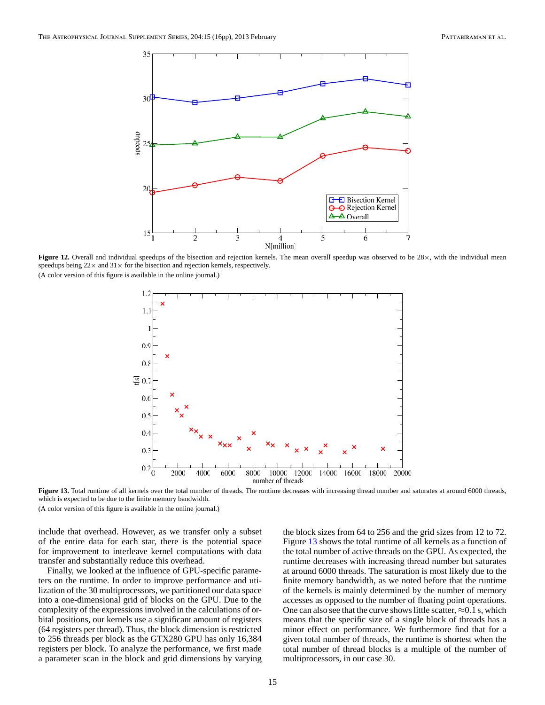<span id="page-14-0"></span>

Figure 12. Overall and individual speedups of the bisection and rejection kernels. The mean overall speedup was observed to be 28×, with the individual mean speedups being  $22 \times$  and  $31 \times$  for the bisection and rejection kernels, respectively. (A color version of this figure is available in the online journal.)



Figure 13. Total runtime of all kernels over the total number of threads. The runtime decreases with increasing thread number and saturates at around 6000 threads, which is expected to be due to the finite memory bandwidth.

include that overhead. However, as we transfer only a subset of the entire data for each star, there is the potential space for improvement to interleave kernel computations with data transfer and substantially reduce this overhead.

Finally, we looked at the influence of GPU-specific parameters on the runtime. In order to improve performance and utilization of the 30 multiprocessors, we partitioned our data space into a one-dimensional grid of blocks on the GPU. Due to the complexity of the expressions involved in the calculations of orbital positions, our kernels use a significant amount of registers (64 registers per thread). Thus, the block dimension is restricted to 256 threads per block as the GTX280 GPU has only 16,384 registers per block. To analyze the performance, we first made a parameter scan in the block and grid dimensions by varying

the block sizes from 64 to 256 and the grid sizes from 12 to 72. Figure 13 shows the total runtime of all kernels as a function of the total number of active threads on the GPU. As expected, the runtime decreases with increasing thread number but saturates at around 6000 threads. The saturation is most likely due to the finite memory bandwidth, as we noted before that the runtime of the kernels is mainly determined by the number of memory accesses as opposed to the number of floating point operations. One can also see that the curve shows little scatter,  $\approx 0.1$  s, which means that the specific size of a single block of threads has a minor effect on performance. We furthermore find that for a given total number of threads, the runtime is shortest when the total number of thread blocks is a multiple of the number of multiprocessors, in our case 30.